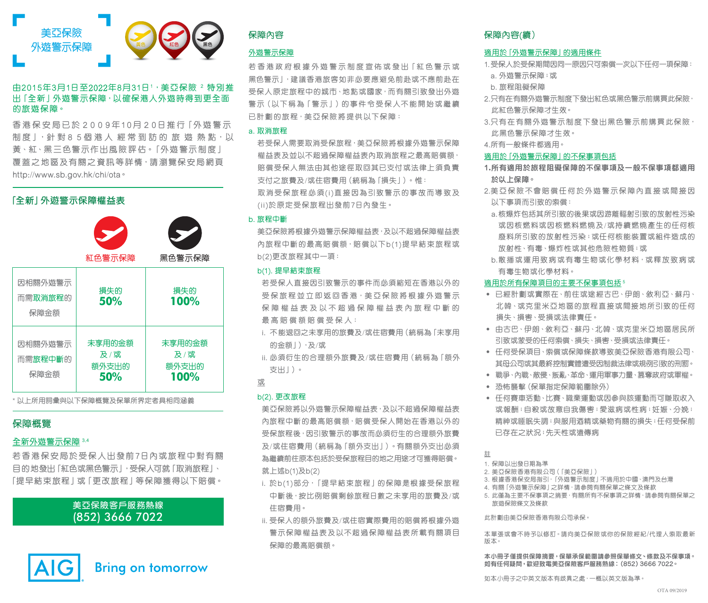

# 由2015年3月1日至2022年8月31日1,美亞保險 2 特別推 出「全新」外遊警示保障,以確保港人外遊時得到更全面 的旅遊保障。

香港保安局已於 2 0 0 9年10月 2 0日推 行「外遊警示 制度 」, 針對 8 5個港人 經常到訪的 旅 遊 熱點, 以 黃、紅、黑三色警示作出風險評估。「外遊警示制度」 覆蓋之地區及有關之資訊等詳情,請瀏覽保安局網頁 http://www.sb.gov.hk/chi/ota。

# **「全新」外遊警示保障權益表**



\* 以上所用詞彙與以下保障概覽及保單所界定者具相同涵義

# 保障概覽

## 全新外遊警示保障 3,4

若香港保安局於受保人出發前7日內或旅程中對有關 目的地發出「紅色或黑色警示」,受保人可就「取消旅程」、 「提早結束旅程」或「更改旅程」等保障獲得以下賠償。

# **美亞保險客戶服務熱線** (852) 3666 7022



**Bring on tomorrow** 

## 外遊警示保障

若 香 港 政 府 根 據 外 遊 警 示 制 度 宣 佈 或 發 出「紅 色 警 示 或 黑色警示|,建議香港旅客如非必要應避免前赴或不應前赴在 受保人原定旅程中的城市、地點或國家,而有關引致發出外遊 警示(以下稱為「警示」)的事件令受保人不能開始或繼續 已計劃的旅程,美亞保險將提供以下保障:

## a. 取消旅程

若受保人需要取消受保旅程,美亞保險將根據外遊警示保障 權益表及並以不超過保障權益表內取消旅程之最高賠償額, 賠償受保人無法由其他途徑取回其已支付或法律上須負責 支付之旅費及/或住宿費用(統稱為「損失」)。 惟: 取消受保旅程必須(i)直接因為引致警示的事故而導致及 (ii)於原定受保旅程出發前7日內發生。

## b. 旅程中斷

美亞保險將根據外遊警示保障權益表,及以不超過保障權益表 內旅程中斷的最高賠償額,賠償以下b(1)提早結束旅程或 b(2)更改旅程其中一項:

## b(1). 提早結束旅程

若受保人直接因引致警示的事件而必須縮短在香港以外的 受保旅程並立即返回香港,美亞保險將根據外遊警示 保障權益表及以不超過保障權益表內旅程中斷的 最 高 賠 償 額 賠 償 受 保 人:

- i. 不能退回之未享用的旅費及/或住宿費用(統稱為「未享用 的金額」),及/或
- ii. 必須衍生的合理額外旅費及/或住宿費用(統稱為「額外 支出」)。

或

## b(2). 更改旅程

美亞保險將以外遊警示保障權益表,及以不超過保障權益表 內旅程中斷的最高賠償額,賠償受保人開始在香港以外的 受保旅程後,因引致警示的事故而必須衍生的合理額外旅費 及/或住宿費用(統稱為「額外支出」)。有關額外支出必須 為繼續前往原本包括於受保旅程目的地之用途才可獲得賠償。 就上述b(1)及b(2)

- i. 於b(1)部分, 「提早結束旅程」的保障是根據受保旅程 中斷後,按比例賠償剩餘旅程日數之未享用的旅費及/或 住宿費用。
- ii. 受保人的額外旅費及/或住宿實際費用的賠償將根據外遊 警示保障權益表及以不超過保障權益表所載有關項目 保障的最高賠償額。

# 保障內容 保障內容(續)

# 適用於「外遊警示保障」的適用條件

- 1. 受保人於受保期間因同一原因只可索償一次以下任何一項保障:
- a. 外遊警示保障;或
- b. 旅程阻礙保障
- 2. 只有在有關外遊警示制度下發出紅色或黑色警示前購買此保險, 此紅色警示保障才生效。
- 3. 只有在有關外遊警示制度下發出黑色警示前購買此保險, 此黑色警示保障才生效。
- 4. 所有一般條件都適用。

## 適用於「外遊警示保障」的不保事項包括

- **1.所有適用於旅程阻礙保障的不保事項及一般不保事項都適用 於以上保障。**
- 2. 美亞保險不會賠償任何於外遊警示保障內直接或間接因 以下事項而引致的索償:
	- a. 核爆炸包括其所引致的後果或因游離輻射引致的放射性污染 或因核燃料或因核燃料燃燒及/或持續燃燒產生的任何核 廢料所引致的放射性污染;或任何核能裝置或組件造成的 放射性、有毒、爆炸性或其他危險性物質;或
	- b. 散播或運用致病或有毒生物或化學材料,或釋放致病或 有毒生物或化學材料。

## 適用於所有保障項目的主要不保事項包括 5

- ‧ 已經計劃或實際在、前往或途經古巴、伊朗、敘利亞、蘇丹、 北韓、或克里米亞地區的旅程直接或間接地所引致的任何 損失、損害、受損或法律責任。
- ‧ 由古巴、伊朗、敘利亞、蘇丹、北韓、或克里米亞地區居民所 引致或蒙受的任何索償、損失、損害、受損或法律責任。
- ‧ 任何受保項目、索償或保障條款導致美亞保險香港有限公司、 其母公司或其最終控制實體遭受因制裁法律或規例引致的刑罰。
- ‧ 戰爭、內戰、敵侵、叛亂、革命、運用軍事力量、篡奪政府或軍權。
- ‧ 恐怖襲擊(保單指定保障範圍除外)
- ‧ 任何賽車活動、比賽、職業運動或因參與該運動而可賺取收入 或報酬;自殺或故意自我傷害;愛滋病或性病;妊娠、分娩; 精神或睡眠失調;與服用酒精或藥物有關的損失;任何受保前 已存在之狀況;先天性或遺傳病
- 註
- 1. 保障以出發日期為準
- 2. 美亞保險香港有限公司(「美亞保險」)
- 3. 根據香港保安局指引,「外遊警示制度」不適用於中國、澳門及台灣
- 4. 有關「外遊警示保障」之詳情,請參閱有關保單之條文及條款
- 5. 此僅為主要不保事項之摘要,有關所有不保事項之詳情,請參閱有關保單之 旅遊保險條文及條款

此計劃由美亞保險香港有限公司承保。

本單張或會不時予以修訂。請向美亞保險或你的保險經紀/代理人索取最新 版本。

**本小冊子僅提供保障摘要,保單承保範圍請參照保單條文、條款及不保事項。 如有任何疑問,歡迎致電美亞保險客戶服務熱線︰(852)3666 7022。**

如本小冊子之中英文版本有歧異之處,一概以英文版為準。